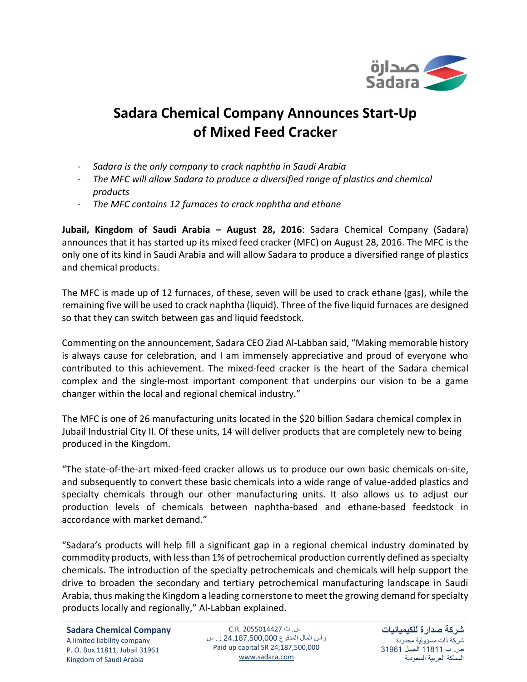

## **Sadara Chemical Company Announces Start-Up of Mixed Feed Cracker**

- *Sadara is the only company to crack naphtha in Saudi Arabia*
- *The MFC will allow Sadara to produce a diversified range of plastics and chemical products*
- *The MFC contains 12 furnaces to crack naphtha and ethane*

**Jubail, Kingdom of Saudi Arabia – August 28, 2016**: Sadara Chemical Company (Sadara) announces that it has started up its mixed feed cracker (MFC) on August 28, 2016. The MFC is the only one of its kind in Saudi Arabia and will allow Sadara to produce a diversified range of plastics and chemical products.

The MFC is made up of 12 furnaces, of these, seven will be used to crack ethane (gas), while the remaining five will be used to crack naphtha (liquid). Three of the five liquid furnaces are designed so that they can switch between gas and liquid feedstock.

Commenting on the announcement, Sadara CEO Ziad Al-Labban said, "Making memorable history is always cause for celebration, and I am immensely appreciative and proud of everyone who contributed to this achievement. The mixed-feed cracker is the heart of the Sadara chemical complex and the single-most important component that underpins our vision to be a game changer within the local and regional chemical industry."

The MFC is one of 26 manufacturing units located in the \$20 billion Sadara chemical complex in Jubail Industrial City II. Of these units, 14 will deliver products that are completely new to being produced in the Kingdom.

"The state-of-the-art mixed-feed cracker allows us to produce our own basic chemicals on-site, and subsequently to convert these basic chemicals into a wide range of value-added plastics and specialty chemicals through our other manufacturing units. It also allows us to adjust our production levels of chemicals between naphtha-based and ethane-based feedstock in accordance with market demand."

"Sadara's products will help fill a significant gap in a regional chemical industry dominated by commodity products, with less than 1% of petrochemical production currently defined as specialty chemicals. The introduction of the specialty petrochemicals and chemicals will help support the drive to broaden the secondary and tertiary petrochemical manufacturing landscape in Saudi Arabia, thus making the Kingdom a leading cornerstone to meet the growing demand for specialty products locally and regionally," Al-Labban explained.

س. ت C.R. 2055014427 رأس المال المدفوع 24,187,500,000 ر. س Paid up capital SR 24,187,500,000 [www.sadara.com](http://www.sadara.com/)